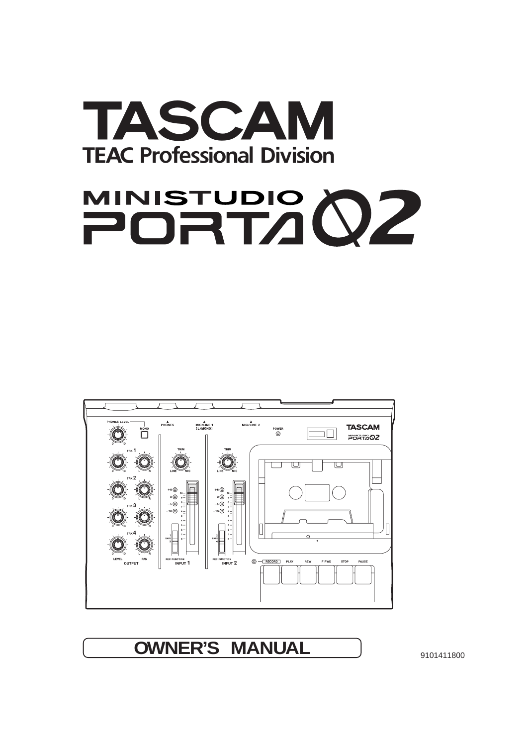

# MINISTUDIO 02



**OWNER'S MANUAL** 9101411800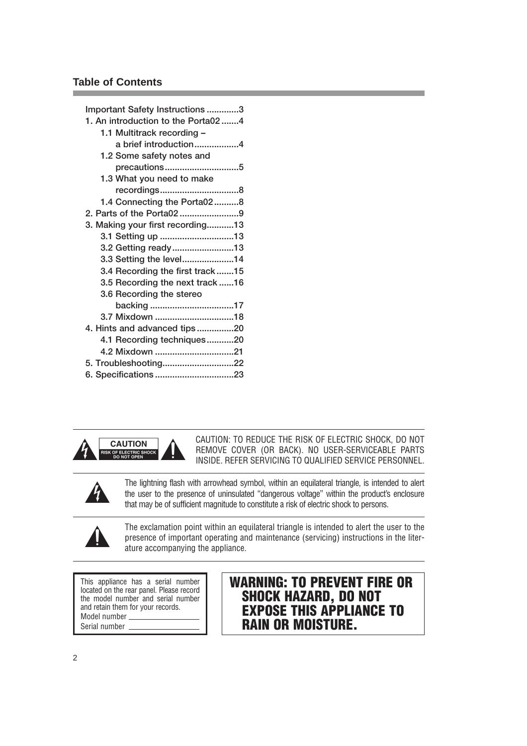## **Table of Contents**

| Important Safety Instructions 3     |
|-------------------------------------|
| 1. An introduction to the Porta02 4 |
| 1.1 Multitrack recording -          |
| a brief introduction4               |
| 1.2 Some safety notes and           |
| precautions5                        |
| 1.3 What you need to make           |
| recordings8                         |
| 1.4 Connecting the Porta028         |
| 2. Parts of the Porta029            |
| 3. Making your first recording13    |
| 3.1 Setting up 13                   |
| 3.2 Getting ready13                 |
| 3.3 Setting the level14             |
| 3.4 Recording the first track 15    |
| 3.5 Recording the next track 16     |
| 3.6 Recording the stereo            |
| backing17                           |
| 3.7 Mixdown 18                      |
| 4. Hints and advanced tips20        |
| 4.1 Recording techniques20          |
| 4.2 Mixdown 21                      |
| 5. Troubleshooting22                |
| 6. Specifications 23                |



CAUTION: TO REDUCE THE RISK OF ELECTRIC SHOCK, DO NOT **CAUTION CAUTION CAUTION: ID REDUCE THE RISK OF ELECTRIC SHOCK, DU NOT REPORTS REFER COVER (OR BACK). NO USER-SERVICEABLE PARTS** 

The lightning flash with arrowhead symbol, within an equilateral triangle, is intended to alert the user to the presence of uninsulated "dangerous voltage" within the product's enclosure that may be of sufficient magnitude to constitute a risk of electric shock to persons.



**ÿ**

The exclamation point within an equilateral triangle is intended to alert the user to the presence of important operating and maintenance (servicing) instructions in the literature accompanying the appliance.

This appliance has a serial number located on the rear panel. Please record the model number and serial number and retain them for your records. Model number Serial number

## **WARNING: TO PREVENT FIRE OR SHOCK HAZARD, DO NOT EXPOSE THIS APPLIANCE TO RAIN OR MOISTURE.**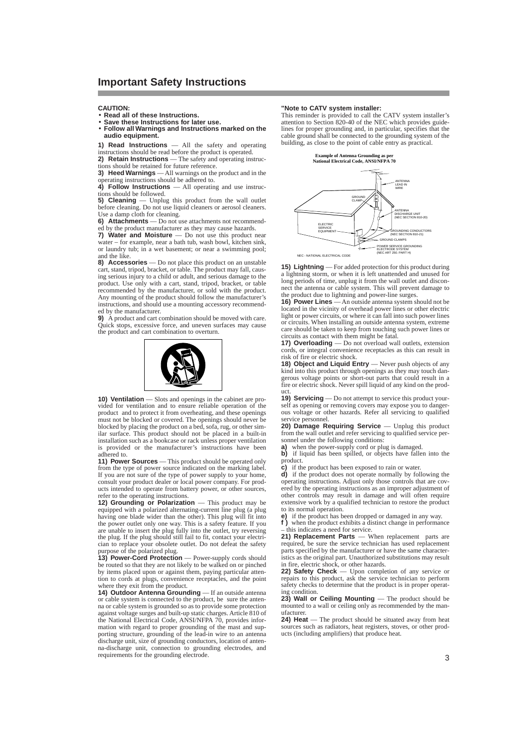**CAUTION:**

- **Read all of these Instructions.**
- **Save these Instructions for later use.**

• **Follow all Warnings and Instructions marked on the audio equipment.**

**1) Read Instructions** — All the safety and operating instructions should be read before the product is operated. **2) Retain Instructions** — The safety and operating instruc-

tions should be retained for future reference. **3) Heed Warnings** — All warnings on the product and in the operating instructions should be adhered to.

4) Follow Instructions — All operating and use instructions should be followed.

**5) Cleaning** — Unplug this product from the wall outlet before cleaning. Do not use liquid cleaners or aerosol cleaners. Use a damp cloth for cleaning.

**6) Attachments** — Do not use attachments not recommended by the product manufacturer as they may cause hazards.

**7) Water and Moisture** — Do not use this product near water  $-$  for example, near a bath tub, wash bowl,  $\hat{k}$  itchen sink, or laundry tub; in a wet basement; or near a swimming pool; and the like.

**8) Accessories** — Do not place this product on an unstable cart, stand, tripod, bracket, or table. The product may fall, caus-ing serious injury to a child or adult, and serious damage to the product. Use only with a cart, stand, tripod, bracket, or table recommended by the manufacturer, or sold with the product. Any mounting of the product should follow the manufacturer's instructions, and should use a mounting accessory recommended by the manufacturer.

**9)** A product and cart combination should be moved with care. Quick stops, excessive force, and uneven surfaces may cause the product and cart combination to overturn.



**10) Ventilation** — Slots and openings in the cabinet are provided for ventilation and to ensure reliable operation of the product and to protect it from overheating, and these openings must not be blocked or covered. The openings should never be blocked by placing the product on a bed, sofa, rug, or other similar surface. This product should not be placed in a built-in installation such as a bookcase or rack unless proper ventilation is provided or the manufacturer's instructions have been adhered to.

**11) Power Sources** — This product should be operated only from the type of power source indicated on the marking label. If you are not sure of the type of power supply to your home, consult your product dealer or local power company. For products intended to operate from battery power, or other sources,

refer to the operating instructions. **12) Grounding or Polarization** — This product may be equipped with a polarized alternating-current line plug (a plug having one blade wider than the other). This plug will fit into the power outlet only one way. This is a safety feature. If you are unable to insert the plug fully into the outlet, try reversing the plug. If the plug should still fail to fit, contact your electrician to replace your obsolete outlet. Do not defeat the safety

purpose of the polarized plug. **13) Power-Cord Protection** — Power-supply cords should be routed so that they are not likely to be walked on or pinched by items placed upon or against them, paying particular attention to cords at plugs, convenience receptacles, and the point where they exit from the product.<br>**14) Outdoor Antenna Grounding** — If an outside antenna

or cable system is connected to the product, be sure the antenna or cable system is grounded so as to provide some protection against voltage surges and built-up static charges. Article 810 of the National Electrical Code, ANSI/NFPA 70, provides infor-mation with regard to proper grounding of the mast and supporting structure, grounding of the lead-in wire to an antenna discharge unit, size of grounding conductors, location of antenna-discharge unit, connection to grounding electrodes, and requirements for the grounding electrode.

#### **"Note to CATV system installer:**

This reminder is provided to call the CATV system installer's attention to Section 820-40 of the NEC which provides guidelines for proper grounding and, in particular, specifies that the cable ground shall be connected to the grounding system of the building, as close to the point of cable entry as practical.



**15) Lightning** — For added protection for this product during a lightning storm, or when it is left unattended and unused for long periods of time, unplug it from the wall outlet and disconnect the antenna or cable system. This will prevent damage to the product due to lightning and power-line surges.

16) Power Lines — An outside antenna system should not be located in the vicinity of overhead power lines or other electric light or power circuits, or where it can fall into such power lines or circuits. When installing an outside antenna system, extreme care should be taken to keep from touching such power lines or circuits as contact with them might be fatal.

**17) Overloading** — Do not overload wall outlets, extension cords, or integral convenience receptacles as this can result in risk of fire or electric shock.

**18) Object and Liquid Entry** — Never push objects of any kind into this product through openings as they may touch dan-gerous voltage points or short-out parts that could result in a fire or electric shock. Never spill liquid of any kind on the prod-

uct. **19) Servicing** — Do not attempt to service this product yourself as opening or removing covers may expose you to dangerous voltage or other hazards. Refer all servicing to qualified service personnel.

**20) Damage Requiring Service** — Unplug this product from the wall outlet and refer servicing to qualified service personnel under the following conditions:

**a**) when the power-supply cord or plug is damaged.<br>**b**) if liquid has been spilled, or objects have fallen into the product. **c)** if the product has been exposed to rain or water.

**d)** if the product does not operate normally by following the operating instructions. Adjust only those controls that are covered by the operating instructions as an improper adjustment of other controls may result in damage and will often require extensive work by a qualified technician to restore the product to its normal operation.

**e)** if the product has been dropped or damaged in any way. **f** ) when the product exhibits a distinct change in performance  $-$  this indicates a need for service.

21) Replacement Parts — When replacement parts are required, be sure the service technician has used replacement parts specified by the manufacturer or have the same characteristics as the original part. Unauthorized substitutions may result

in fire, electric shock, or other hazards. **22) Safety Check** — Upon completion of any service or repairs to this product, ask the service technician to perform safety checks to determine that the product is in proper operating condition.

23) Wall or Ceiling Mounting — The product should be mounted to a wall or ceiling only as recommended by the manufacturer.<br>**24) Heat** -

 $-$  The product should be situated away from heat sources such as radiators, heat registers, stoves, or other products (including amplifiers) that produce heat.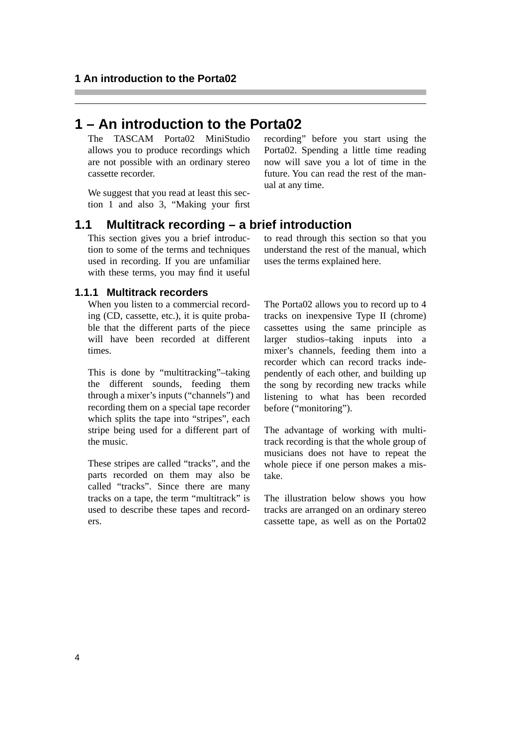## **1 – An introduction to the Porta02**

The TASCAM Porta02 MiniStudio allows you to produce recordings which are not possible with an ordinary stereo cassette recorder.

We suggest that you read at least this section 1 and also [3, "Making your first](#page-12-0) [recording"](#page-12-0) before you start using the Porta02. Spending a little time reading now will save you a lot of time in the future. You can read the rest of the manual at any time.

## **1.1 Multitrack recording – a brief introduction**

This section gives you a brief introduction to some of the terms and techniques used in recording. If you are unfamiliar with these terms, you may find it useful

#### **1.1.1 Multitrack recorders**

When you listen to a commercial recording (CD, cassette, etc.), it is quite probable that the different parts of the piece will have been recorded at different times.

This is done by "multitracking"–taking the different sounds, feeding them through a mixer's inputs ("channels") and recording them on a special tape recorder which splits the tape into "stripes", each stripe being used for a different part of the music.

These stripes are called "tracks", and the parts recorded on them may also be called "tracks". Since there are many tracks on a tape, the term "multitrack" is used to describe these tapes and recorders.

to read through this section so that you understand the rest of the manual, which uses the terms explained here.

The Porta02 allows you to record up to 4 tracks on inexpensive Type II (chrome) cassettes using the same principle as larger studios–taking inputs into a mixer's channels, feeding them into a recorder which can record tracks independently of each other, and building up the song by recording new tracks while listening to what has been recorded before ("monitoring").

The advantage of working with multitrack recording is that the whole group of musicians does not have to repeat the whole piece if one person makes a mistake.

The illustration below shows you how tracks are arranged on an ordinary stereo cassette tape, as well as on the Porta02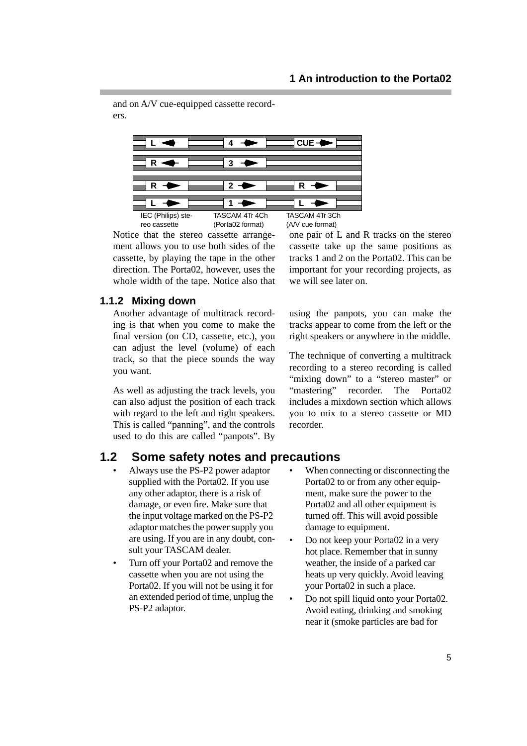and on A/V cue-equipped cassette recorders.



Notice that the stereo cassette arrangement allows you to use both sides of the cassette, by playing the tape in the other direction. The Porta02, however, uses the whole width of the tape. Notice also that

one pair of L and R tracks on the stereo cassette take up the same positions as tracks 1 and 2 on the Porta02. This can be important for your recording projects, as we will see later on.

## **1.1.2 Mixing down**

Another advantage of multitrack recording is that when you come to make the final version (on CD, cassette, etc.), you can adjust the level (volume) of each track, so that the piece sounds the way you want.

As well as adjusting the track levels, you can also adjust the position of each track with regard to the left and right speakers. This is called "panning", and the controls used to do this are called "panpots". By

**1.2 Some safety notes and precautions**

- Always use the PS-P2 power adaptor supplied with the Porta02. If you use any other adaptor, there is a risk of damage, or even fire. Make sure that the input voltage marked on the PS-P2 adaptor matches the power supply you are using. If you are in any doubt, consult your TASCAM dealer.
- Turn off your Porta02 and remove the cassette when you are not using the Porta02. If you will not be using it for an extended period of time, unplug the PS-P2 adaptor.

using the panpots, you can make the tracks appear to come from the left or the right speakers or anywhere in the middle.

The technique of converting a multitrack recording to a stereo recording is called "mixing down" to a "stereo master" or "mastering" recorder. The Porta02 includes a mixdown section which allows you to mix to a stereo cassette or MD recorder.

- When connecting or disconnecting the Porta02 to or from any other equipment, make sure the power to the Porta02 and all other equipment is turned off. This will avoid possible damage to equipment.
- Do not keep your Porta02 in a very hot place. Remember that in sunny weather, the inside of a parked car heats up very quickly. Avoid leaving your Porta02 in such a place.
- Do not spill liquid onto your Porta02. Avoid eating, drinking and smoking near it (smoke particles are bad for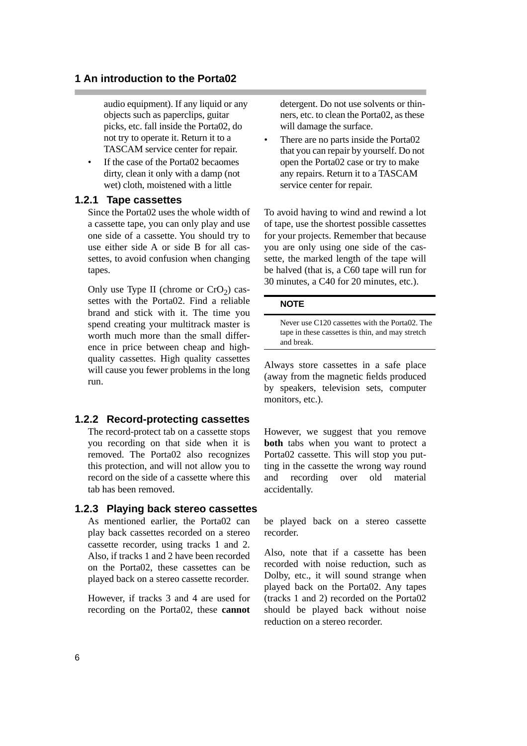audio equipment). If any liquid or any objects such as paperclips, guitar picks, etc. fall inside the Porta02, do not try to operate it. Return it to a TASCAM service center for repair.

If the case of the Porta02 becaomes dirty, clean it only with a damp (not wet) cloth, moistened with a little

## **1.2.1 Tape cassettes**

Since the Porta02 uses the whole width of a cassette tape, you can only play and use one side of a cassette. You should try to use either side A or side B for all cassettes, to avoid confusion when changing tapes.

Only use Type II (chrome or  $CrO<sub>2</sub>$ ) cassettes with the Porta02. Find a reliable brand and stick with it. The time you spend creating your multitrack master is worth much more than the small difference in price between cheap and highquality cassettes. High quality cassettes will cause you fewer problems in the long run.

## **1.2.2 Record-protecting cassettes**

The record-protect tab on a cassette stops you recording on that side when it is removed. The Porta02 also recognizes this protection, and will not allow you to record on the side of a cassette where this tab has been removed.

## **1.2.3 Playing back stereo cassettes**

As mentioned earlier, the Porta02 can play back cassettes recorded on a stereo cassette recorder, using tracks 1 and 2. Also, if tracks 1 and 2 have been recorded on the Porta02, these cassettes can be played back on a stereo cassette recorder.

However, if tracks 3 and 4 are used for recording on the Porta02, these **cannot** detergent. Do not use solvents or thinners, etc. to clean the Porta02, as these will damage the surface.

• There are no parts inside the Porta02 that you can repair by yourself. Do not open the Porta02 case or try to make any repairs. Return it to a TASCAM service center for repair.

To avoid having to wind and rewind a lot of tape, use the shortest possible cassettes for your projects. Remember that because you are only using one side of the cassette, the marked length of the tape will be halved (that is, a C60 tape will run for 30 minutes, a C40 for 20 minutes, etc.).

#### **NOTE**

Never use C120 cassettes with the Porta02. The tape in these cassettes is thin, and may stretch and break.

Always store cassettes in a safe place (away from the magnetic fields produced by speakers, television sets, computer monitors, etc.).

However, we suggest that you remove **both** tabs when you want to protect a Porta02 cassette. This will stop you putting in the cassette the wrong way round and recording over old material accidentally.

be played back on a stereo cassette recorder.

Also, note that if a cassette has been recorded with noise reduction, such as Dolby, etc., it will sound strange when played back on the Porta02. Any tapes (tracks 1 and 2) recorded on the Porta02 should be played back without noise reduction on a stereo recorder.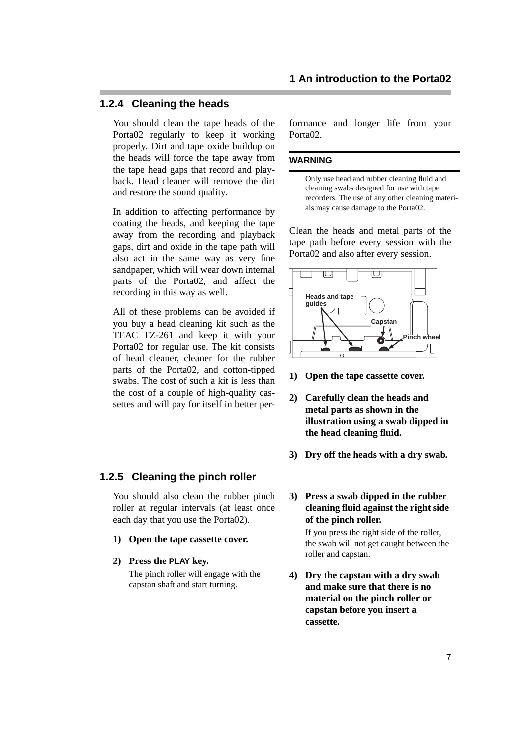## <span id="page-6-0"></span>**1.2.4 Cleaning the heads**

You should clean the tape heads of the Porta02 regularly to keep it working properly. Dirt and tape oxide buildup on the heads will force the tape away from the tape head gaps that record and playback. Head cleaner will remove the dirt and restore the sound quality.

In addition to affecting performance by coating the heads, and keeping the tape away from the recording and playback gaps, dirt and oxide in the tape path will also act in the same way as very fine sandpaper, which will wear down internal parts of the Porta02, and affect the recording in this way as well.

All of these problems can be avoided if you buy a head cleaning kit such as the TEAC TZ-261 and keep it with your Porta02 for regular use. The kit consists of head cleaner, cleaner for the rubber parts of the Porta02, and cotton-tipped swabs. The cost of such a kit is less than the cost of a couple of high-quality cassettes and will pay for itself in better per-

## **1.2.5 Cleaning the pinch roller**

You should also clean the rubber pinch roller at regular intervals (at least once each day that you use the Porta02).

- **1) Open the tape cassette cover.**
- **2) Press the PLAY key.**

The pinch roller will engage with the capstan shaft and start turning.

formance and longer life from your Porta<sub>02</sub>

#### **WARNING**

Only use head and rubber cleaning fluid and cleaning swabs designed for use with tape recorders. The use of any other cleaning materials may cause damage to the Porta02.

Clean the heads and metal parts of the tape path before every session with the Porta02 and also after every session.



- **1) Open the tape cassette cover.**
- **2) Carefully clean the heads and metal parts as shown in the illustration using a swab dipped in the head cleaning fluid.**
- **3) Dry off the heads with a dry swab.**

#### **3) Press a swab dipped in the rubber cleaning fluid against the right side of the pinch roller.**

If you press the right side of the roller, the swab will not get caught between the roller and capstan.

**4) Dry the capstan with a dry swab and make sure that there is no material on the pinch roller or capstan before you insert a cassette.**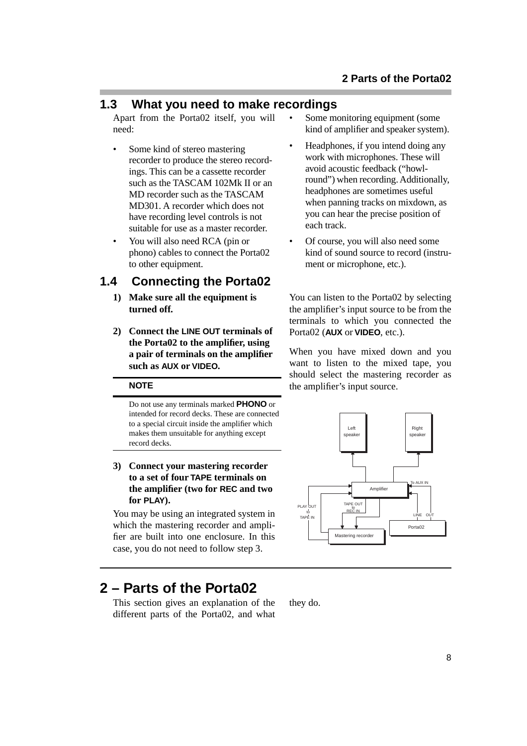## <span id="page-7-0"></span>**1.3 What you need to make recordings**

Apart from the Porta02 itself, you will need:

- Some kind of stereo mastering recorder to produce the stereo recordings. This can be a cassette recorder such as the TASCAM 102Mk II or an MD recorder such as the TASCAM MD301. A recorder which does not have recording level controls is not suitable for use as a master recorder.
- You will also need RCA (pin or phono) cables to connect the Porta02 to other equipment.

## **1.4 Connecting the Porta02**

- **1) Make sure all the equipment is turned off.**
- **2) Connect the LINE OUT terminals of the Porta02 to the amplifier, using a pair of terminals on the amplifier such as AUX or VIDEO.**

#### **NOTE**

Do not use any terminals marked **PHONO** or intended for record decks. These are connected to a special circuit inside the amplifier which makes them unsuitable for anything except record decks.

#### **3) Connect your mastering recorder to a set of four TAPE terminals on the amplifier (two for REC and two for PLAY).**

You may be using an integrated system in which the mastering recorder and amplifier are built into one enclosure. In this case, you do not need to follow step 3.

# **2 – Parts of the Porta02**

This section gives an explanation of the different parts of the Porta02, and what Some monitoring equipment (some kind of amplifier and speaker system).

- Headphones, if you intend doing any work with microphones. These will avoid acoustic feedback ("howlround") when recording. Additionally, headphones are sometimes useful when panning tracks on mixdown, as you can hear the precise position of each track.
- Of course, you will also need some kind of sound source to record (instrument or microphone, etc.).

You can listen to the Porta02 by selecting the amplifier's input source to be from the terminals to which you connected the Porta02 (**AUX** or **VIDEO**, etc.).

When you have mixed down and you want to listen to the mixed tape, you should select the mastering recorder as the amplifier's input source.

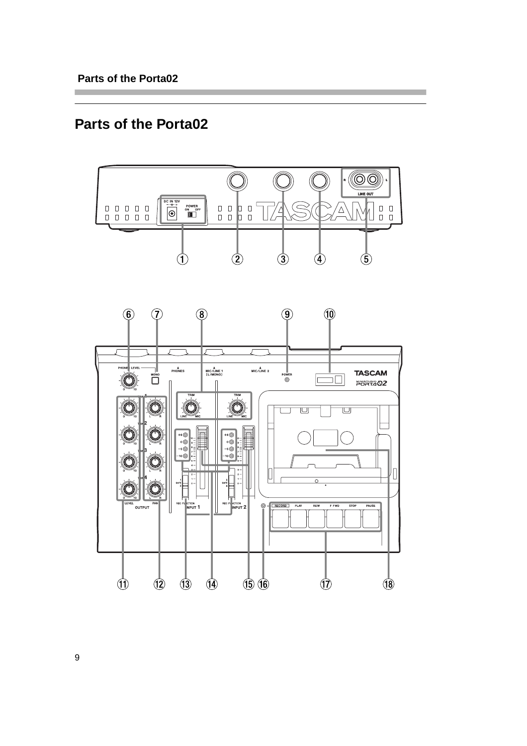# **Parts of the Porta02**



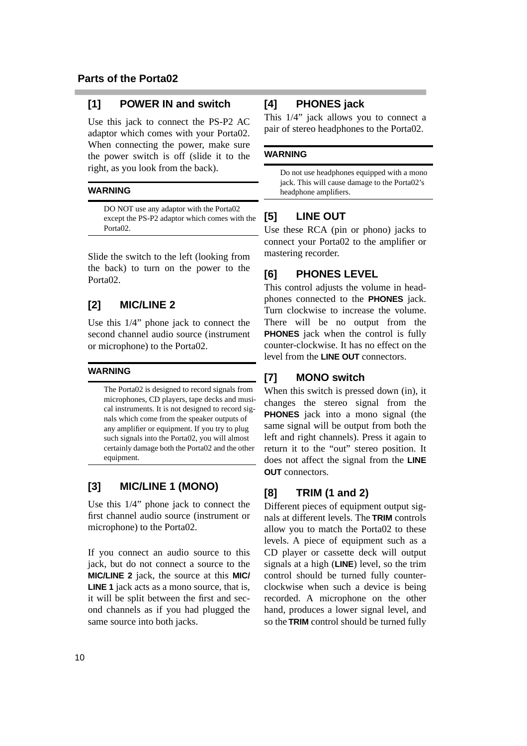## **[1] POWER IN and switch**

Use this jack to connect the PS-P2 AC adaptor which comes with your Porta02. When connecting the power, make sure the power switch is off (slide it to the right, as you look from the back).

#### **WARNING**

DO NOT use any adaptor with the Porta02 except the PS-P2 adaptor which comes with the Porta02.

Slide the switch to the left (looking from the back) to turn on the power to the Porta<sub>02</sub>.

## **[2] MIC/LINE 2**

Use this 1/4" phone jack to connect the second channel audio source (instrument or microphone) to the Porta02.

#### **WARNING**

The Porta02 is designed to record signals from microphones, CD players, tape decks and musical instruments. It is not designed to record signals which come from the speaker outputs of any amplifier or equipment. If you try to plug such signals into the Porta02, you will almost certainly damage both the Porta02 and the other equipment.

## **[3] MIC/LINE 1 (MONO)**

Use this 1/4" phone jack to connect the first channel audio source (instrument or microphone) to the Porta02.

If you connect an audio source to this jack, but do not connect a source to the **MIC/LINE 2** jack, the source at this **MIC/ LINE 1** jack acts as a mono source, that is, it will be split between the first and second channels as if you had plugged the same source into both jacks.

## **[4] PHONES jack**

This 1/4" jack allows you to connect a pair of stereo headphones to the Porta02.

#### **WARNING**

Do not use headphones equipped with a mono jack. This will cause damage to the Porta02's headphone amplifiers.

## **[5] LINE OUT**

Use these RCA (pin or phono) jacks to connect your Porta02 to the amplifier or mastering recorder.

## **[6] PHONES LEVEL**

This control adjusts the volume in headphones connected to the **PHONES** jack. Turn clockwise to increase the volume. There will be no output from the **PHONES** jack when the control is fully counter-clockwise. It has no effect on the level from the **LINE OUT** connectors.

## **[7] MONO switch**

When this switch is pressed down (in), it changes the stereo signal from the **PHONES** jack into a mono signal (the same signal will be output from both the left and right channels). Press it again to return it to the "out" stereo position. It does not affect the signal from the **LINE OUT** connectors.

## **[8] TRIM (1 and 2)**

Different pieces of equipment output signals at different levels. The **TRIM** controls allow you to match the Porta02 to these levels. A piece of equipment such as a CD player or cassette deck will output signals at a high (**LINE**) level, so the trim control should be turned fully counterclockwise when such a device is being recorded. A microphone on the other hand, produces a lower signal level, and so the **TRIM** control should be turned fully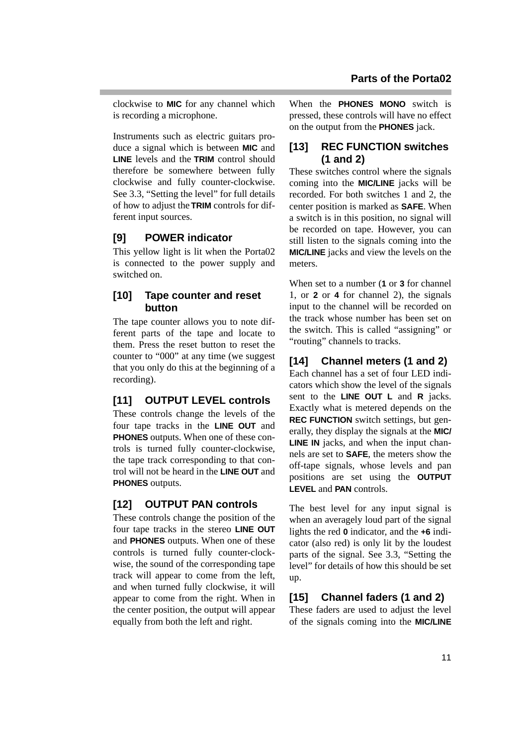clockwise to **MIC** for any channel which is recording a microphone.

Instruments such as electric guitars produce a signal which is between **MIC** and **LINE** levels and the **TRIM** control should therefore be somewhere between fully clockwise and fully counter-clockwise. See [3.3, "Setting the level"](#page-13-0) for full details of how to adjust the **TRIM** controls for different input sources.

## **[9] POWER indicator**

This yellow light is lit when the Porta02 is connected to the power supply and switched on.

## **[10] Tape counter and reset button**

The tape counter allows you to note different parts of the tape and locate to them. Press the reset button to reset the counter to "000" at any time (we suggest that you only do this at the beginning of a recording).

## **[11] OUTPUT LEVEL controls**

These controls change the levels of the four tape tracks in the **LINE OUT** and **PHONES** outputs. When one of these controls is turned fully counter-clockwise, the tape track corresponding to that control will not be heard in the **LINE OUT** and **PHONES** outputs.

## **[12] OUTPUT PAN controls**

These controls change the position of the four tape tracks in the stereo **LINE OUT** and **PHONES** outputs. When one of these controls is turned fully counter-clockwise, the sound of the corresponding tape track will appear to come from the left, and when turned fully clockwise, it will appear to come from the right. When in the center position, the output will appear equally from both the left and right.

When the **PHONES MONO** switch is pressed, these controls will have no effect on the output from the **PHONES** jack.

## **[13] REC FUNCTION switches (1 and 2)**

These switches control where the signals coming into the **MIC/LINE** jacks will be recorded. For both switches 1 and 2, the center position is marked as **SAFE**. When a switch is in this position, no signal will be recorded on tape. However, you can still listen to the signals coming into the **MIC/LINE** jacks and view the levels on the meters.

When set to a number (**1** or **3** for channel 1, or **2** or **4** for channel 2), the signals input to the channel will be recorded on the track whose number has been set on the switch. This is called "assigning" or "routing" channels to tracks.

## **[14] Channel meters (1 and 2)**

Each channel has a set of four LED indicators which show the level of the signals sent to the **LINE OUT L** and **R** jacks. Exactly what is metered depends on the **REC FUNCTION** switch settings, but generally, they display the signals at the **MIC/ LINE IN** jacks, and when the input channels are set to **SAFE**, the meters show the off-tape signals, whose levels and pan positions are set using the **OUTPUT LEVEL** and **PAN** controls.

The best level for any input signal is when an averagely loud part of the signal lights the red **0** indicator, and the **+6** indicator (also red) is only lit by the loudest parts of the signal. See [3.3, "Setting the](#page-13-0) [level"](#page-13-0) for details of how this should be set up.

## **[15] Channel faders (1 and 2)**

These faders are used to adjust the level of the signals coming into the **MIC/LINE**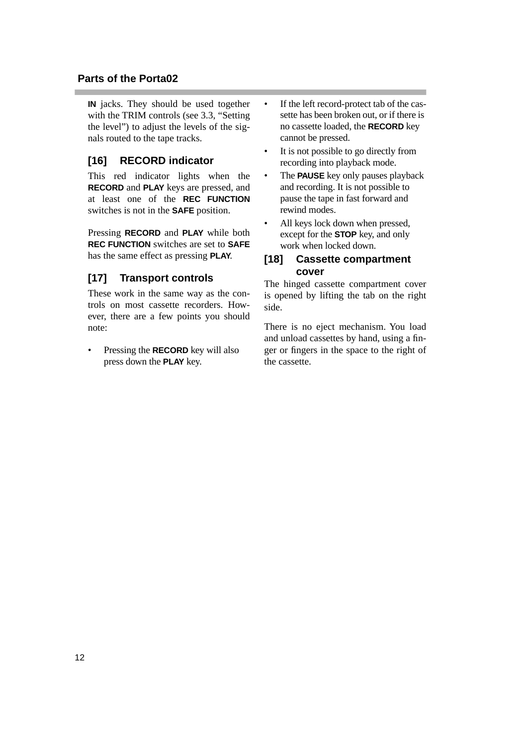## **Parts of the Porta02**

**IN** jacks. They should be used together with the TRIM controls [\(see 3.3, "Setting](#page-13-0) [the level"\)](#page-13-0) to adjust the levels of the signals routed to the tape tracks.

## **[16] RECORD indicator**

This red indicator lights when the **RECORD** and **PLAY** keys are pressed, and at least one of the **REC FUNCTION** switches is not in the **SAFE** position.

Pressing **RECORD** and **PLAY** while both **REC FUNCTION** switches are set to **SAFE** has the same effect as pressing **PLAY**.

## **[17] Transport controls**

These work in the same way as the controls on most cassette recorders. However, there are a few points you should note:

• Pressing the **RECORD** key will also press down the **PLAY** key.

- If the left record-protect tab of the cassette has been broken out, or if there is no cassette loaded, the **RECORD** key cannot be pressed.
- It is not possible to go directly from recording into playback mode.
- The **PAUSE** key only pauses playback and recording. It is not possible to pause the tape in fast forward and rewind modes.
- All keys lock down when pressed, except for the **STOP** key, and only work when locked down.

## **[18] Cassette compartment cover**

The hinged cassette compartment cover is opened by lifting the tab on the right side.

There is no eject mechanism. You load and unload cassettes by hand, using a finger or fingers in the space to the right of the cassette.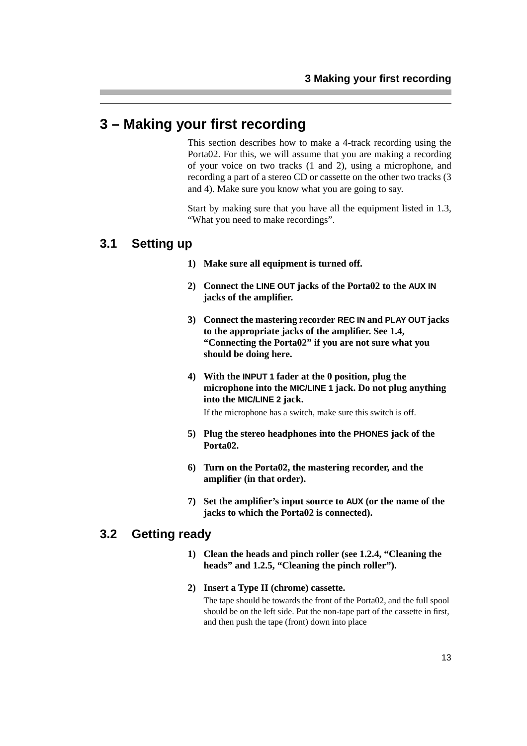## <span id="page-12-0"></span>**3 – Making your first recording**

This section describes how to make a 4-track recording using the Porta02. For this, we will assume that you are making a recording of your voice on two tracks (1 and 2), using a microphone, and recording a part of a stereo CD or cassette on the other two tracks (3 and 4). Make sure you know what you are going to say.

Start by making sure that you have all the equipment listed in [1.3,](#page-7-0) ["What you need to make recordings"](#page-7-0).

## **3.1 Setting up**

- **1) Make sure all equipment is turned off.**
- **2) Connect the LINE OUT jacks of the Porta02 to the AUX IN jacks of the amplifier.**
- **3) Connect the mastering recorder REC IN and PLAY OUT jacks to the appropriate jacks of the amplifier. See [1.4,](#page-7-0)  ["Connecting the Porta02"](#page-7-0) if you are not sure what you should be doing here.**
- **4) With the INPUT 1 fader at the 0 position, plug the microphone into the MIC/LINE 1 jack. Do not plug anything into the MIC/LINE 2 jack.**

If the microphone has a switch, make sure this switch is off.

- **5) Plug the stereo headphones into the PHONES jack of the Porta02.**
- **6) Turn on the Porta02, the mastering recorder, and the amplifier (in that order).**
- **7) Set the amplifier's input source to AUX (or the name of the jacks to which the Porta02 is connected).**

## **3.2 Getting ready**

- **1) Clean the heads and pinch roller [\(see 1.2.4, "Cleaning the](#page-6-0)  [heads"](#page-6-0) and [1.2.5, "Cleaning the pinch roller"\)](#page-6-0).**
- **2) Insert a Type II (chrome) cassette.**

The tape should be towards the front of the Porta02, and the full spool should be on the left side. Put the non-tape part of the cassette in first, and then push the tape (front) down into place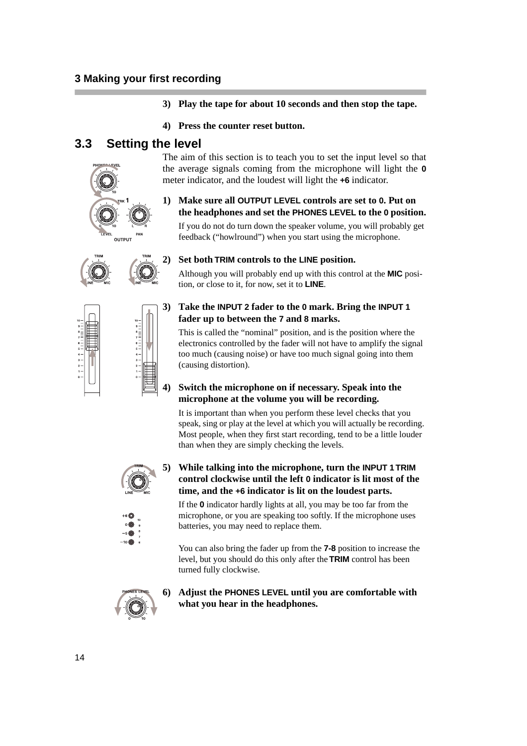**3) Play the tape for about 10 seconds and then stop the tape.**

The aim of this section is to teach you to set the input level so that the average signals coming from the microphone will light the **0**

**1) Make sure all OUTPUT LEVEL controls are set to 0. Put on the headphones and set the PHONES LEVEL to the 0 position.** If you do not do turn down the speaker volume, you will probably get feedback ("howlround") when you start using the microphone.

meter indicator, and the loudest will light the **+6** indicator.

**4) Press the counter reset button.**

## <span id="page-13-0"></span>**3.3 Setting the level**









Although you will probably end up with this control at the **MIC** position, or close to it, for now, set it to **LINE**.

## **3) Take the INPUT 2 fader to the 0 mark. Bring the INPUT 1 fader up to between the 7 and 8 marks.**

This is called the "nominal" position, and is the position where the electronics controlled by the fader will not have to amplify the signal too much (causing noise) or have too much signal going into them (causing distortion).

#### **4) Switch the microphone on if necessary. Speak into the microphone at the volume you will be recording.**

It is important than when you perform these level checks that you speak, sing or play at the level at which you will actually be recording. Most people, when they first start recording, tend to be a little louder than when they are simply checking the levels.



#### **5) While talking into the microphone, turn the INPUT 1 TRIM control clockwise until the left 0 indicator is lit most of the time, and the +6 indicator is lit on the loudest parts.**

If the **0** indicator hardly lights at all, you may be too far from the microphone, or you are speaking too softly. If the microphone uses batteries, you may need to replace them.

You can also bring the fader up from the **7-8** position to increase the level, but you should do this only after the **TRIM** control has been turned fully clockwise.



#### **6) Adjust the PHONES LEVEL until you are comfortable with what you hear in the headphones.**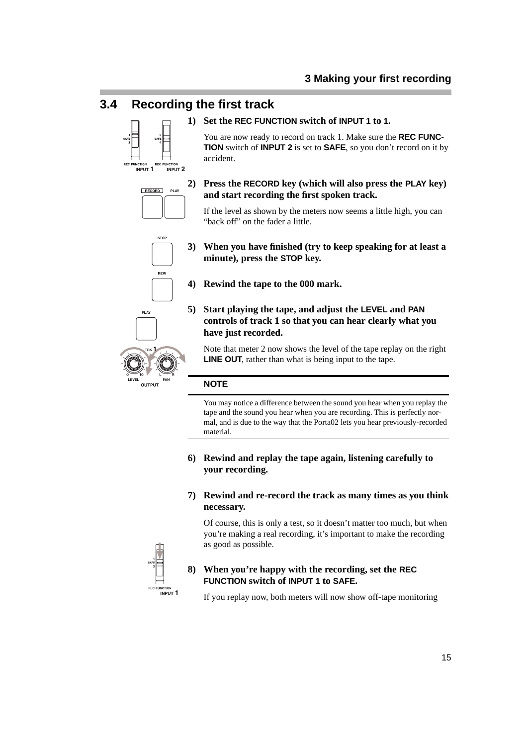## **3.4 Recording the first track**



## **1) Set the REC FUNCTION switch of INPUT 1 to 1.**

You are now ready to record on track 1. Make sure the **REC FUNC-TION** switch of **INPUT 2** is set to **SAFE**, so you don't record on it by accident.



#### **2) Press the RECORD key (which will also press the PLAY key) and start recording the first spoken track.**

If the level as shown by the meters now seems a little high, you can "back off" on the fader a little.

**STOP** REW





- **4) Rewind the tape to the 000 mark.**
- **5) Start playing the tape, and adjust the LEVEL and PAN controls of track 1 so that you can hear clearly what you have just recorded.**

Note that meter 2 now shows the level of the tape replay on the right **LINE OUT**, rather than what is being input to the tape.

#### **NOTE**

You may notice a difference between the sound you hear when you replay the tape and the sound you hear when you are recording. This is perfectly normal, and is due to the way that the Porta02 lets you hear previously-recorded material.

**6) Rewind and replay the tape again, listening carefully to your recording.**

#### **7) Rewind and re-record the track as many times as you think necessary.**

Of course, this is only a test, so it doesn't matter too much, but when you're making a real recording, it's important to make the recording as good as possible.



#### **8) When you're happy with the recording, set the REC FUNCTION switch of INPUT 1 to SAFE.**

If you replay now, both meters will now show off-tape monitoring





PLAY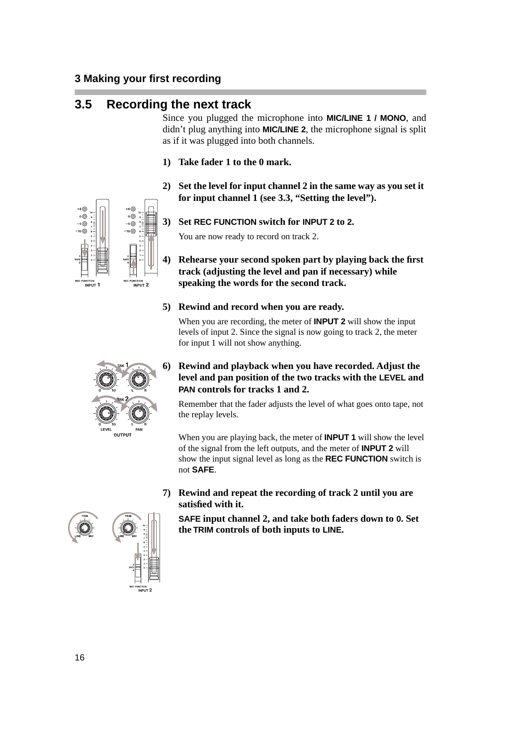## **3.5 Recording the next track**

Since you plugged the microphone into **MIC/LINE 1 / MONO**, and didn't plug anything into **MIC/LINE 2**, the microphone signal is split as if it was plugged into both channels.

- **1) Take fader 1 to the 0 mark.**
- **2) Set the level for input channel 2 in the same way as you set it for input channel 1 [\(see 3.3, "Setting the level"\)](#page-13-0).**

#### **3) Set REC FUNCTION switch for INPUT 2 to 2.**

You are now ready to record on track 2.

#### **4) Rehearse your second spoken part by playing back the first track (adjusting the level and pan if necessary) while speaking the words for the second track.**

#### **5) Rewind and record when you are ready.**

When you are recording, the meter of **INPUT 2** will show the input levels of input 2. Since the signal is now going to track 2, the meter for input 1 will not show anything.

## **6) Rewind and playback when you have recorded. Adjust the level and pan position of the two tracks with the LEVEL and PAN controls for tracks 1 and 2.**

Remember that the fader adjusts the level of what goes onto tape, not the replay levels.

When you are playing back, the meter of **INPUT 1** will show the level of the signal from the left outputs, and the meter of **INPUT 2** will show the input signal level as long as the **REC FUNCTION** switch is not **SAFE**.

**7) Rewind and repeat the recording of track 2 until you are satisfied with it.**

**SAFE input channel 2, and take both faders down to 0. Set the TRIM controls of both inputs to LINE.**



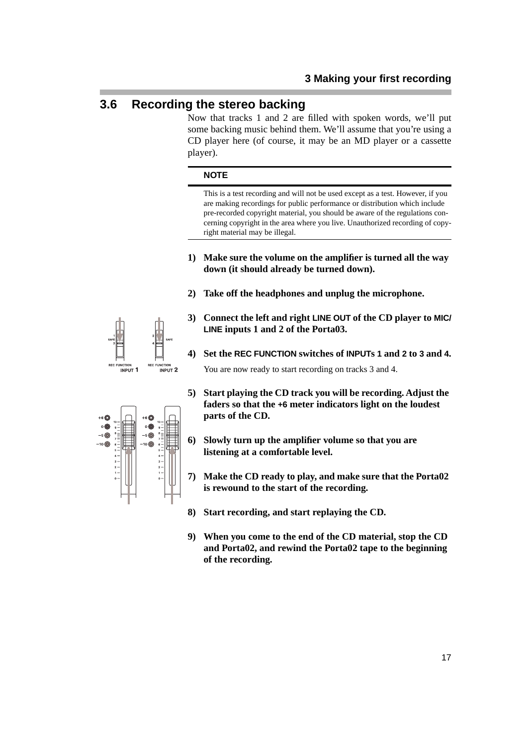## **3.6 Recording the stereo backing**

Now that tracks 1 and 2 are filled with spoken words, we'll put some backing music behind them. We'll assume that you're using a CD player here (of course, it may be an MD player or a cassette player).

#### **NOTE**

This is a test recording and will not be used except as a test. However, if you are making recordings for public performance or distribution which include pre-recorded copyright material, you should be aware of the regulations concerning copyright in the area where you live. Unauthorized recording of copyright material may be illegal.

- **1) Make sure the volume on the amplifier is turned all the way down (it should already be turned down).**
- **2) Take off the headphones and unplug the microphone.**
- **3) Connect the left and right LINE OUT of the CD player to MIC/ LINE inputs 1 and 2 of the Porta03.**
- **4) Set the REC FUNCTION switches of INPUTs 1 and 2 to 3 and 4.**

You are now ready to start recording on tracks 3 and 4.

- **5) Start playing the CD track you will be recording. Adjust the faders so that the +6 meter indicators light on the loudest parts of the CD.**
- **6) Slowly turn up the amplifier volume so that you are listening at a comfortable level.**
- **7) Make the CD ready to play, and make sure that the Porta02 is rewound to the start of the recording.**
- **8) Start recording, and start replaying the CD.**
- **9) When you come to the end of the CD material, stop the CD and Porta02, and rewind the Porta02 tape to the beginning of the recording.**



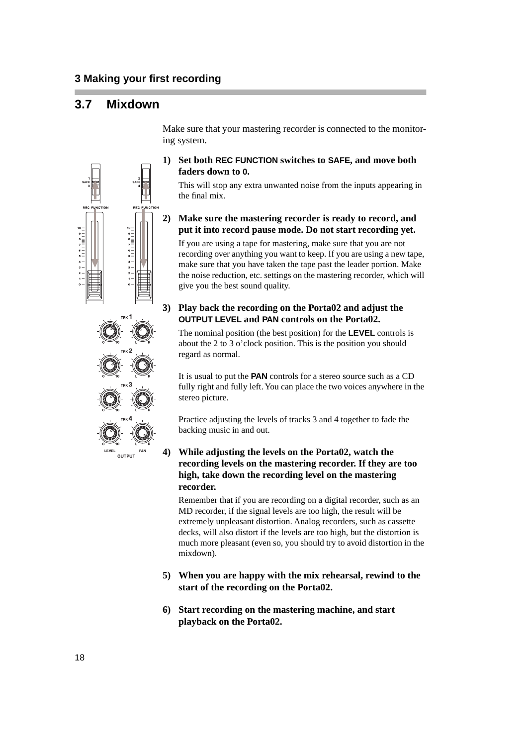## **3.7 Mixdown**

 $\begin{array}{c} {\scriptstyle\mathsf{8}}\\ {\scriptstyle\mathsf{7}}\\ {\scriptstyle\mathsf{8}}\\ {\scriptstyle\mathsf{6}}\\ {\scriptstyle\mathsf{5}} \end{array} \begin{array}{c} \\ {\scriptstyle\mathsf{8}}\\ \vdots \\ {\scriptstyle\mathsf{8}} \end{array}$ 

Make sure that your mastering recorder is connected to the monitoring system.

#### **1) Set both REC FUNCTION switches to SAFE, and move both faders down to 0.**

This will stop any extra unwanted noise from the inputs appearing in the final mix.

## **2) Make sure the mastering recorder is ready to record, and put it into record pause mode. Do not start recording yet.**

If you are using a tape for mastering, make sure that you are not recording over anything you want to keep. If you are using a new tape, make sure that you have taken the tape past the leader portion. Make the noise reduction, etc. settings on the mastering recorder, which will give you the best sound quality.

#### **3) Play back the recording on the Porta02 and adjust the OUTPUT LEVEL and PAN controls on the Porta02.**

The nominal position (the best position) for the **LEVEL** controls is about the 2 to 3 o'clock position. This is the position you should regard as normal.

It is usual to put the **PAN** controls for a stereo source such as a CD fully right and fully left. You can place the two voices anywhere in the stereo picture.

Practice adjusting the levels of tracks 3 and 4 together to fade the backing music in and out.

#### **4) While adjusting the levels on the Porta02, watch the recording levels on the mastering recorder. If they are too high, take down the recording level on the mastering recorder.**

Remember that if you are recording on a digital recorder, such as an MD recorder, if the signal levels are too high, the result will be extremely unpleasant distortion. Analog recorders, such as cassette decks, will also distort if the levels are too high, but the distortion is much more pleasant (even so, you should try to avoid distortion in the mixdown).

- **5) When you are happy with the mix rehearsal, rewind to the start of the recording on the Porta02.**
- **6) Start recording on the mastering machine, and start playback on the Porta02.**

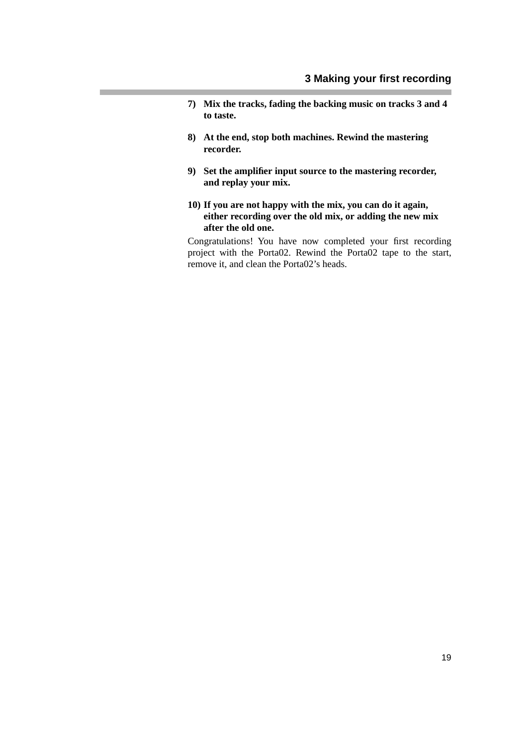- **7) Mix the tracks, fading the backing music on tracks 3 and 4 to taste.**
- **8) At the end, stop both machines. Rewind the mastering recorder.**
- **9) Set the amplifier input source to the mastering recorder, and replay your mix.**
- **10) If you are not happy with the mix, you can do it again, either recording over the old mix, or adding the new mix after the old one.**

Congratulations! You have now completed your first recording project with the Porta02. Rewind the Porta02 tape to the start, remove it, and clean the Porta02's heads.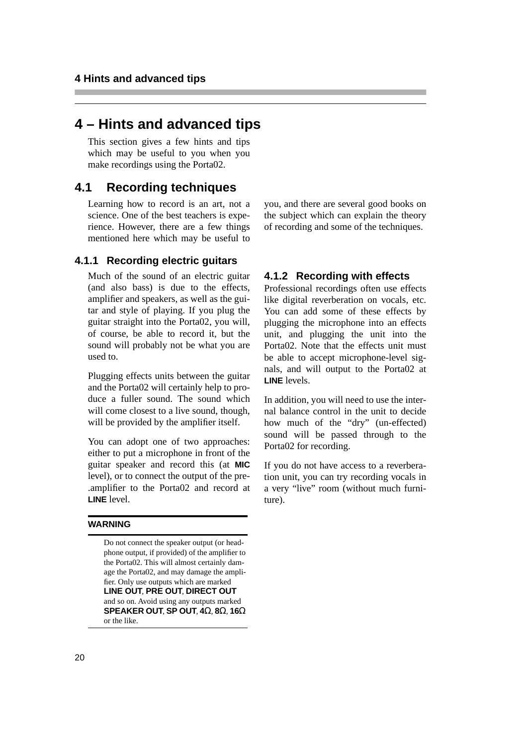## **4 – Hints and advanced tips**

This section gives a few hints and tips which may be useful to you when you make recordings using the Porta02.

## **4.1 Recording techniques**

Learning how to record is an art, not a science. One of the best teachers is experience. However, there are a few things mentioned here which may be useful to

## **4.1.1 Recording electric guitars**

Much of the sound of an electric guitar (and also bass) is due to the effects, amplifier and speakers, as well as the guitar and style of playing. If you plug the guitar straight into the Porta02, you will, of course, be able to record it, but the sound will probably not be what you are used to.

Plugging effects units between the guitar and the Porta02 will certainly help to produce a fuller sound. The sound which will come closest to a live sound, though, will be provided by the amplifier itself.

You can adopt one of two approaches: either to put a microphone in front of the guitar speaker and record this (at **MIC** level), or to connect the output of the pre- .amplifier to the Porta02 and record at **LINE** level.

#### **WARNING**

Do not connect the speaker output (or headphone output, if provided) of the amplifier to the Porta02. This will almost certainly damage the Porta02, and may damage the amplifier. Only use outputs which are marked **LINE OUT**, **PRE OUT**, **DIRECT OUT**  and so on. Avoid using any outputs marked **SPEAKER OUT**, **SP OUT**, **4**Ω, **8**Ω, **16**Ω or the like.

you, and there are several good books on the subject which can explain the theory of recording and some of the techniques.

#### **4.1.2 Recording with effects**

Professional recordings often use effects like digital reverberation on vocals, etc. You can add some of these effects by plugging the microphone into an effects unit, and plugging the unit into the Porta02. Note that the effects unit must be able to accept microphone-level signals, and will output to the Porta02 at **LINE** levels.

In addition, you will need to use the internal balance control in the unit to decide how much of the "dry" (un-effected) sound will be passed through to the Porta02 for recording.

If you do not have access to a reverberation unit, you can try recording vocals in a very "live" room (without much furniture).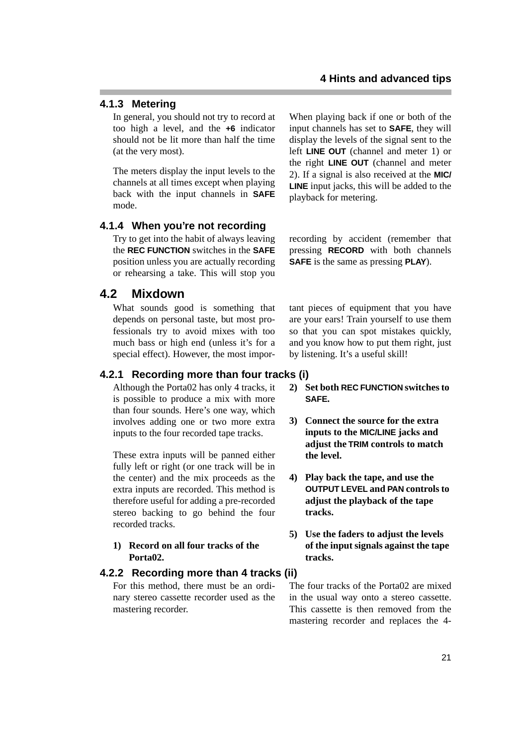## **4.1.3 Metering**

In general, you should not try to record at too high a level, and the **+6** indicator should not be lit more than half the time (at the very most).

The meters display the input levels to the channels at all times except when playing back with the input channels in **SAFE** mode.

## **4.1.4 When you're not recording**

Try to get into the habit of always leaving the **REC FUNCTION** switches in the **SAFE** position unless you are actually recording or rehearsing a take. This will stop you

## **4.2 Mixdown**

What sounds good is something that depends on personal taste, but most professionals try to avoid mixes with too much bass or high end (unless it's for a special effect). However, the most impor-

## **4.2.1 Recording more than four tracks (i)**

Although the Porta02 has only 4 tracks, it is possible to produce a mix with more than four sounds. Here's one way, which involves adding one or two more extra inputs to the four recorded tape tracks.

These extra inputs will be panned either fully left or right (or one track will be in the center) and the mix proceeds as the extra inputs are recorded. This method is therefore useful for adding a pre-recorded stereo backing to go behind the four recorded tracks.

**1) Record on all four tracks of the Porta02.**

#### **4.2.2 Recording more than 4 tracks (ii)**

For this method, there must be an ordinary stereo cassette recorder used as the mastering recorder.

When playing back if one or both of the input channels has set to **SAFE**, they will display the levels of the signal sent to the left **LINE OUT** (channel and meter 1) or the right **LINE OUT** (channel and meter 2). If a signal is also received at the **MIC/ LINE** input jacks, this will be added to the playback for metering.

recording by accident (remember that pressing **RECORD** with both channels **SAFE** is the same as pressing **PLAY**).

tant pieces of equipment that you have are your ears! Train yourself to use them so that you can spot mistakes quickly, and you know how to put them right, just by listening. It's a useful skill!

- **2) Set both REC FUNCTION switches to SAFE.**
- **3) Connect the source for the extra inputs to the MIC/LINE jacks and adjust the TRIM controls to match the level.**
- **4) Play back the tape, and use the OUTPUT LEVEL and PAN controls to adjust the playback of the tape tracks.**
- **5) Use the faders to adjust the levels of the input signals against the tape tracks.**

The four tracks of the Porta02 are mixed in the usual way onto a stereo cassette. This cassette is then removed from the mastering recorder and replaces the 4-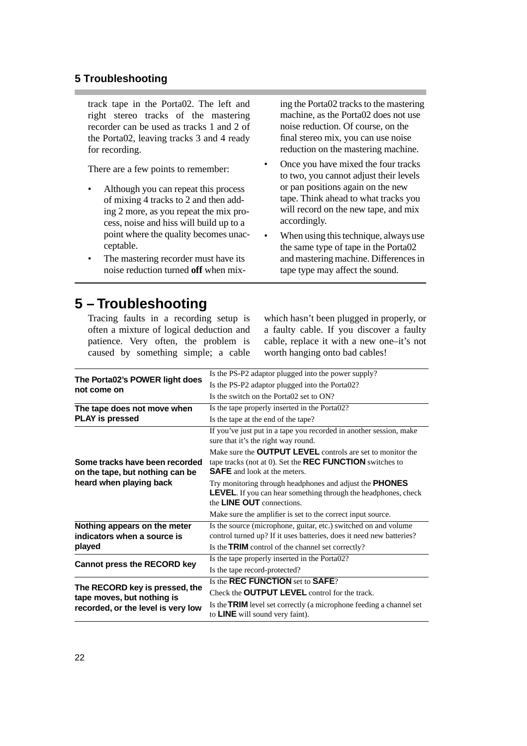## **5 Troubleshooting**

track tape in the Porta02. The left and right stereo tracks of the mastering recorder can be used as tracks 1 and 2 of the Porta02, leaving tracks 3 and 4 ready for recording.

There are a few points to remember:

- Although you can repeat this process of mixing 4 tracks to 2 and then adding 2 more, as you repeat the mix process, noise and hiss will build up to a point where the quality becomes unacceptable.
- The mastering recorder must have its noise reduction turned **off** when mix-

ing the Porta02 tracks to the mastering machine, as the Porta02 does not use noise reduction. Of course, on the final stereo mix, you can use noise reduction on the mastering machine.

- Once you have mixed the four tracks to two, you cannot adjust their levels or pan positions again on the new tape. Think ahead to what tracks you will record on the new tape, and mix accordingly.
- When using this technique, always use the same type of tape in the Porta02 and mastering machine. Differences in tape type may affect the sound.

# **5 – Troubleshooting**

Tracing faults in a recording setup is often a mixture of logical deduction and patience. Very often, the problem is caused by something simple; a cable which hasn't been plugged in properly, or a faulty cable. If you discover a faulty cable, replace it with a new one–it's not worth hanging onto bad cables!

|                                                                                                    | Is the PS-P2 adaptor plugged into the power supply?                                                                                                                         |
|----------------------------------------------------------------------------------------------------|-----------------------------------------------------------------------------------------------------------------------------------------------------------------------------|
| The Porta02's POWER light does<br>not come on                                                      |                                                                                                                                                                             |
|                                                                                                    | Is the PS-P2 adaptor plugged into the Porta02?                                                                                                                              |
|                                                                                                    | Is the switch on the Porta02 set to ON?                                                                                                                                     |
| The tape does not move when                                                                        | Is the tape properly inserted in the Porta02?                                                                                                                               |
| <b>PLAY is pressed</b>                                                                             | Is the tape at the end of the tape?                                                                                                                                         |
| Some tracks have been recorded<br>on the tape, but nothing can be<br>heard when playing back       | If you've just put in a tape you recorded in another session, make<br>sure that it's the right way round.                                                                   |
|                                                                                                    | Make sure the <b>OUTPUT LEVEL</b> controls are set to monitor the<br>tape tracks (not at 0). Set the <b>REC FUNCTION</b> switches to<br><b>SAFE</b> and look at the meters. |
|                                                                                                    | Try monitoring through headphones and adjust the <b>PHONES</b><br><b>LEVEL</b> . If you can hear something through the headphones, check<br>the LINE OUT connections.       |
|                                                                                                    | Make sure the amplifier is set to the correct input source.                                                                                                                 |
| Nothing appears on the meter<br>indicators when a source is                                        | Is the source (microphone, guitar, etc.) switched on and volume<br>control turned up? If it uses batteries, does it need new batteries?                                     |
| played                                                                                             | Is the <b>TRIM</b> control of the channel set correctly?                                                                                                                    |
| <b>Cannot press the RECORD key</b>                                                                 | Is the tape properly inserted in the Porta02?                                                                                                                               |
|                                                                                                    | Is the tape record-protected?                                                                                                                                               |
| The RECORD key is pressed, the<br>tape moves, but nothing is<br>recorded, or the level is very low | Is the REC FUNCTION set to SAFE?                                                                                                                                            |
|                                                                                                    | Check the <b>OUTPUT LEVEL</b> control for the track.                                                                                                                        |
|                                                                                                    | Is the <b>TRIM</b> level set correctly (a microphone feeding a channel set<br>to LINE will sound very faint).                                                               |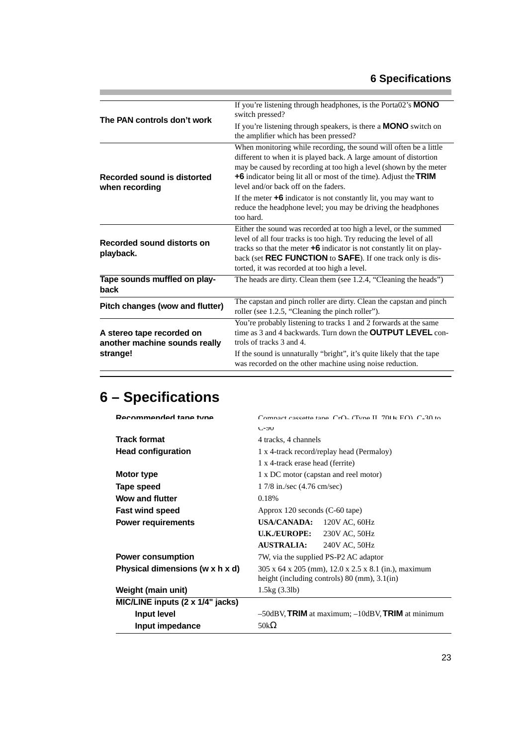| The PAN controls don't work                                            | If you're listening through headphones, is the Porta02's MONO<br>switch pressed?                                                                                                                                                                                                                                                               |
|------------------------------------------------------------------------|------------------------------------------------------------------------------------------------------------------------------------------------------------------------------------------------------------------------------------------------------------------------------------------------------------------------------------------------|
|                                                                        | If you're listening through speakers, is there a <b>MONO</b> switch on<br>the amplifier which has been pressed?                                                                                                                                                                                                                                |
| Recorded sound is distorted<br>when recording                          | When monitoring while recording, the sound will often be a little<br>different to when it is played back. A large amount of distortion<br>may be caused by recording at too high a level (shown by the meter<br>+6 indicator being lit all or most of the time). Adjust the TRIM<br>level and/or back off on the faders.                       |
|                                                                        | If the meter $+6$ indicator is not constantly lit, you may want to<br>reduce the headphone level; you may be driving the headphones<br>too hard.                                                                                                                                                                                               |
| Recorded sound distorts on<br>playback.                                | Either the sound was recorded at too high a level, or the summed<br>level of all four tracks is too high. Try reducing the level of all<br>tracks so that the meter $+6$ indicator is not constantly lit on play-<br>back (set <b>REC FUNCTION</b> to <b>SAFE</b> ). If one track only is dis-<br>torted, it was recorded at too high a level. |
| Tape sounds muffled on play-<br>back                                   | The heads are dirty. Clean them (see 1.2.4, "Cleaning the heads")                                                                                                                                                                                                                                                                              |
| Pitch changes (wow and flutter)                                        | The capstan and pinch roller are dirty. Clean the capstan and pinch<br>roller (see 1.2.5, "Cleaning the pinch roller").                                                                                                                                                                                                                        |
| A stereo tape recorded on<br>another machine sounds really<br>strange! | You're probably listening to tracks 1 and 2 forwards at the same<br>time as 3 and 4 backwards. Turn down the <b>OUTPUT LEVEL</b> con-<br>trols of tracks 3 and 4.<br>If the sound is unnaturally "bright", it's quite likely that the tape<br>was recorded on the other machine using noise reduction.                                         |
|                                                                        |                                                                                                                                                                                                                                                                                                                                                |

# **6 – Specifications**

| Recommended tane tune            | Compact cassette tape $CrO2$ (Type II) 7011s $FO2$ $C3$ to                                                                 |
|----------------------------------|----------------------------------------------------------------------------------------------------------------------------|
|                                  | し-ソリ                                                                                                                       |
| <b>Track format</b>              | 4 tracks, 4 channels                                                                                                       |
| <b>Head configuration</b>        | 1 x 4-track record/replay head (Permaloy)                                                                                  |
|                                  | 1 x 4-track erase head (ferrite)                                                                                           |
| Motor type                       | 1 x DC motor (capstan and reel motor)                                                                                      |
| Tape speed                       | 1 7/8 in./sec (4.76 cm/sec)                                                                                                |
| <b>Wow and flutter</b>           | 0.18%                                                                                                                      |
| <b>Fast wind speed</b>           | Approx 120 seconds (C-60 tape)                                                                                             |
| <b>Power requirements</b>        | USA/CANADA: 120V AC, 60Hz                                                                                                  |
|                                  | <b>U.K./EUROPE:</b><br>230V AC, 50Hz                                                                                       |
|                                  | <b>AUSTRALIA:</b><br>240V AC, 50Hz                                                                                         |
| <b>Power consumption</b>         | 7W, via the supplied PS-P2 AC adaptor                                                                                      |
| Physical dimensions (w x h x d)  | 305 x 64 x 205 (mm), 12.0 x 2.5 x 8.1 (in.), maximum<br>height (including controls) $80 \text{ (mm)}$ , $3.1 \text{ (in)}$ |
| Weight (main unit)               | 1.5kg(3.3lb)                                                                                                               |
| MIC/LINE inputs (2 x 1/4" jacks) |                                                                                                                            |
| Input level                      | $-50$ dBV, TRIM at maximum; $-10$ dBV, TRIM at minimum                                                                     |
| Input impedance                  | 50k $\Omega$                                                                                                               |